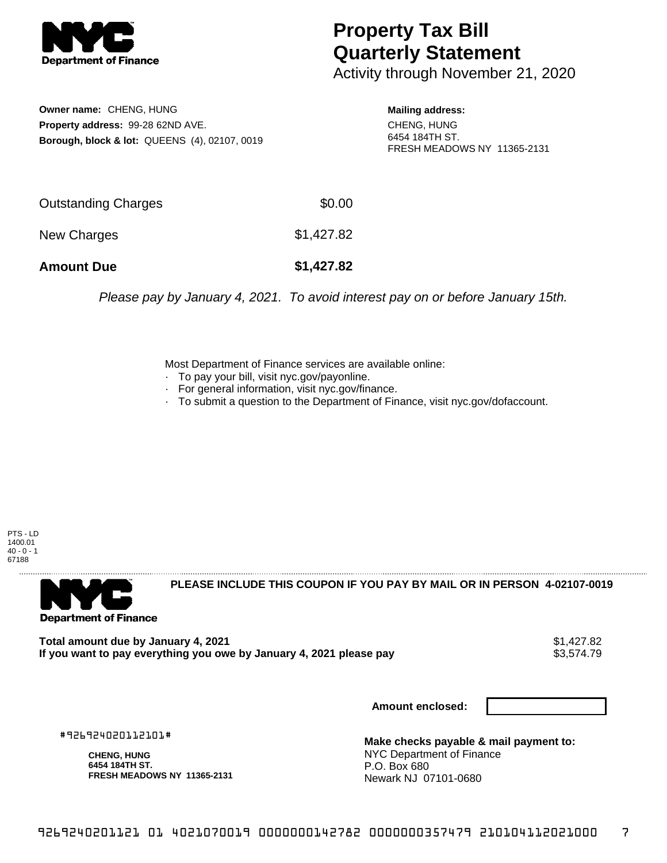

## **Property Tax Bill Quarterly Statement**

Activity through November 21, 2020

**Owner name:** CHENG, HUNG **Property address:** 99-28 62ND AVE. **Borough, block & lot:** QUEENS (4), 02107, 0019

**Mailing address:** CHENG, HUNG 6454 184TH ST. FRESH MEADOWS NY 11365-2131

| <b>Amount Due</b>   | \$1,427.82 |
|---------------------|------------|
| New Charges         | \$1,427.82 |
| Outstanding Charges | \$0.00     |

Please pay by January 4, 2021. To avoid interest pay on or before January 15th.

Most Department of Finance services are available online:

- · To pay your bill, visit nyc.gov/payonline.
- For general information, visit nyc.gov/finance.
- · To submit a question to the Department of Finance, visit nyc.gov/dofaccount.

PTS - LD 1400.01  $40 - 0 - 1$ 67188



**PLEASE INCLUDE THIS COUPON IF YOU PAY BY MAIL OR IN PERSON 4-02107-0019** 

**Total amount due by January 4, 2021**<br>If you want to pay everything you owe by January 4, 2021 please pay **show that the summan way of the s**3,574.79 If you want to pay everything you owe by January 4, 2021 please pay

**Amount enclosed:**

#926924020112101#

**CHENG, HUNG 6454 184TH ST. FRESH MEADOWS NY 11365-2131**

**Make checks payable & mail payment to:** NYC Department of Finance P.O. Box 680 Newark NJ 07101-0680